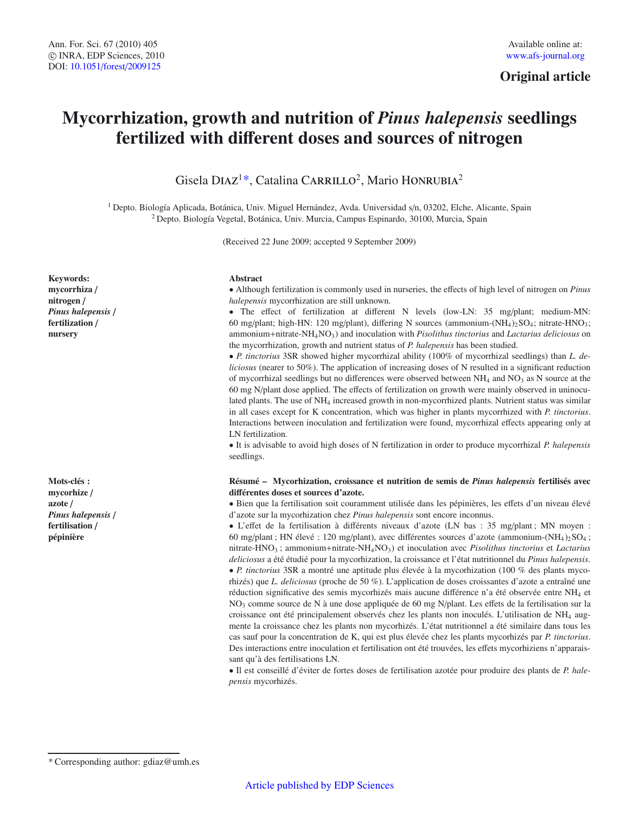# **Original article**

# **Mycorrhization, growth and nutrition of** *Pinus halepensis* **seedlings fertilized with di**ff**erent doses and sources of nitrogen**

Gisela DIAZ<sup>1\*</sup>, Catalina CARRILLO<sup>2</sup>, Mario HONRUBIA<sup>2</sup>

<sup>1</sup> Depto. Biología Aplicada, Botánica, Univ. Miguel Hernández, Avda. Universidad s/n, 03202, Elche, Alicante, Spain <sup>2</sup> Depto. Biología Vegetal, Botánica, Univ. Murcia, Campus Espinardo, 30100, Murcia, Spain

(Received 22 June 2009; accepted 9 September 2009)

#### **Abstract**

• Although fertilization is commonly used in nurseries, the effects of high level of nitrogen on *Pinus halepensis* mycorrhization are still unknown.

• The effect of fertilization at different N levels (low-LN: 35 mg/plant; medium-MN: 60 mg/plant; high-HN: 120 mg/plant), differing N sources (ammonium- $(NH_4)$ ,  $SO_4$ ; nitrate-HNO<sub>3</sub>; ammonium+nitrate-NH4NO3) and inoculation with *Pisolithus tinctorius* and *Lactarius deliciosus* on the mycorrhization, growth and nutrient status of *P. halepensis* has been studied.

• *P. tinctorius* 3SR showed higher mycorrhizal ability (100% of mycorrhizal seedlings) than *L. deliciosus* (nearer to 50%). The application of increasing doses of N resulted in a significant reduction of mycorrhizal seedlings but no differences were observed between  $NH<sub>4</sub>$  and  $NO<sub>3</sub>$  as N source at the 60 mg N/plant dose applied. The effects of fertilization on growth were mainly observed in uninoculated plants. The use of NH<sub>4</sub> increased growth in non-mycorrhized plants. Nutrient status was similar in all cases except for K concentration, which was higher in plants mycorrhized with *P. tinctorius*. Interactions between inoculation and fertilization were found, mycorrhizal effects appearing only at LN fertilization.

• It is advisable to avoid high doses of N fertilization in order to produce mycorrhizal *P. halepensis* seedlings.

## **Résumé – Mycorhization, croissance et nutrition de semis de** *Pinus halepensis* **fertilisés avec di**ff**érentes doses et sources d'azote.**

• Bien que la fertilisation soit couramment utilisée dans les pépinières, les effets d'un niveau élevé d'azote sur la mycorhization chez *Pinus halepensis* sont encore inconnus.

• L'effet de la fertilisation à différents niveaux d'azote (LN bas : 35 mg/plant ; MN moyen : 60 mg/plant ; HN élevé : 120 mg/plant), avec différentes sources d'azote (ammonium- $(NH_4)_{2}SO_4$ ; nitrate-HNO3 ; ammonium+nitrate-NH4NO3) et inoculation avec *Pisolithus tinctorius* et *Lactarius deliciosus* a été étudié pour la mycorhization, la croissance et l'état nutritionnel du *Pinus halepensis*. • *P. tinctorius* 3SR a montré une aptitude plus élevée à la mycorhization (100 % des plants mycorhizés) que *L. deliciosus* (proche de 50 %). L'application de doses croissantes d'azote a entraîné une réduction significative des semis mycorhizés mais aucune différence n'a été observée entre NH4 et NO3 comme source de N à une dose appliquée de 60 mg N/plant. Les effets de la fertilisation sur la croissance ont été principalement observés chez les plants non inoculés. L'utilisation de NH4 augmente la croissance chez les plants non mycorhizés. L'état nutritionnel a été similaire dans tous les cas sauf pour la concentration de K, qui est plus élevée chez les plants mycorhizés par *P. tinctorius*. Des interactions entre inoculation et fertilisation ont été trouvées, les effets mycorhiziens n'apparaissant qu'à des fertilisations LN.

• Il est conseillé d'éviter de fortes doses de fertilisation azotée pour produire des plants de *P. halepensis* mycorhizés.

**Keywords: mycorrhiza** / **nitrogen** / *Pinus halepensis* / **fertilization** / **nursery**

**Mots-clés : mycorhize** / **azote** / *Pinus halepensis* / **fertilisation** / **pépinière**

<sup>\*</sup> Corresponding author: gdiaz@umh.es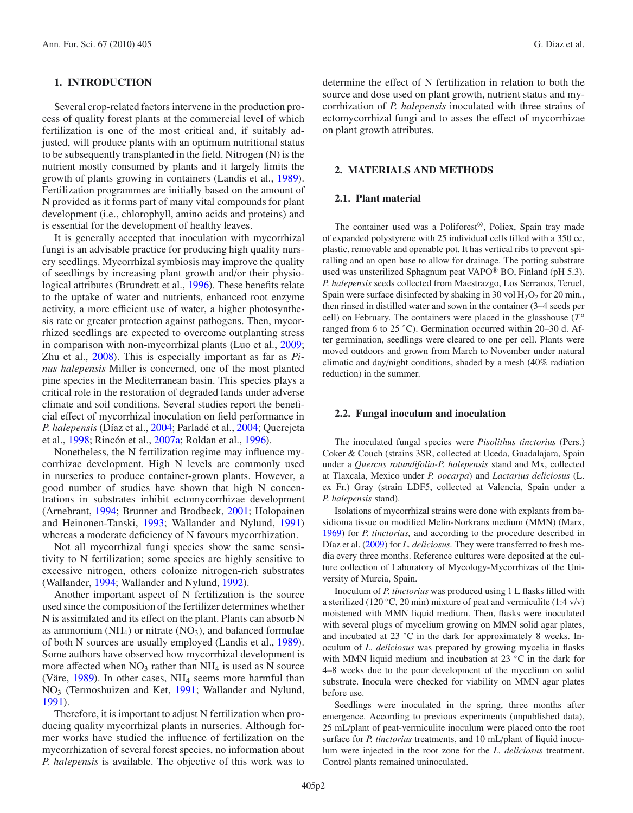# **1. INTRODUCTION**

Several crop-related factors intervene in the production process of quality forest plants at the commercial level of which fertilization is one of the most critical and, if suitably adjusted, will produce plants with an optimum nutritional status to be subsequently transplanted in the field. Nitrogen (N) is the nutrient mostly consumed by plants and it largely limits the growth of plants growing in containers (Landis et al., [1989\)](#page-8-0). Fertilization programmes are initially based on the amount of N provided as it forms part of many vital compounds for plant development (i.e., chlorophyll, amino acids and proteins) and is essential for the development of healthy leaves.

It is generally accepted that inoculation with mycorrhizal fungi is an advisable practice for producing high quality nursery seedlings. Mycorrhizal symbiosis may improve the quality of seedlings by increasing plant growth and/or their physiological attributes (Brundrett et al., [1996\)](#page-8-1). These benefits relate to the uptake of water and nutrients, enhanced root enzyme activity, a more efficient use of water, a higher photosynthesis rate or greater protection against pathogens. Then, mycorrhized seedlings are expected to overcome outplanting stress in comparison with non-mycorrhizal plants (Luo et al., [2009;](#page-8-2) Zhu et al., [2008\)](#page-8-3). This is especially important as far as *Pinus halepensis* Miller is concerned, one of the most planted pine species in the Mediterranean basin. This species plays a critical role in the restoration of degraded lands under adverse climate and soil conditions. Several studies report the beneficial effect of mycorrhizal inoculation on field performance in *P. halepensis* (Díaz et al., [2004;](#page-8-4) Parladé et al., [2004;](#page-8-5) Querejeta et al., [1998](#page-8-6); Rincón et al., [2007a;](#page-8-7) Roldan et al., [1996](#page-8-8)).

Nonetheless, the N fertilization regime may influence mycorrhizae development. High N levels are commonly used in nurseries to produce container-grown plants. However, a good number of studies have shown that high N concentrations in substrates inhibit ectomycorrhizae development (Arnebrant, [1994;](#page-8-9) Brunner and Brodbeck, [2001;](#page-8-10) Holopainen and Heinonen-Tanski, [1993](#page-8-11); Wallander and Nylund, [1991](#page-8-12)) whereas a moderate deficiency of N favours mycorrhization.

Not all mycorrhizal fungi species show the same sensitivity to N fertilization; some species are highly sensitive to excessive nitrogen, others colonize nitrogen-rich substrates (Wallander, [1994;](#page-8-13) Wallander and Nylund, [1992\)](#page-8-14).

Another important aspect of N fertilization is the source used since the composition of the fertilizer determines whether N is assimilated and its effect on the plant. Plants can absorb N as ammonium ( $NH<sub>4</sub>$ ) or nitrate ( $NO<sub>3</sub>$ ), and balanced formulae of both N sources are usually employed (Landis et al., [1989\)](#page-8-0). Some authors have observed how mycorrhizal development is more affected when  $NO_3$  rather than  $NH_4$  is used as N source (Väre, [1989\)](#page-8-15). In other cases, NH4 seems more harmful than NO3 (Termoshuizen and Ket, [1991;](#page-8-16) Wallander and Nylund, [1991\)](#page-8-12).

Therefore, it is important to adjust N fertilization when producing quality mycorrhizal plants in nurseries. Although former works have studied the influence of fertilization on the mycorrhization of several forest species, no information about *P. halepensis* is available. The objective of this work was to determine the effect of N fertilization in relation to both the source and dose used on plant growth, nutrient status and mycorrhization of *P. halepensis* inoculated with three strains of ectomycorrhizal fungi and to asses the effect of mycorrhizae on plant growth attributes.

#### **2. MATERIALS AND METHODS**

#### **2.1. Plant material**

The container used was a Poliforest®, Poliex, Spain tray made of expanded polystyrene with 25 individual cells filled with a 350 cc, plastic, removable and openable pot. It has vertical ribs to prevent spiralling and an open base to allow for drainage. The potting substrate used was unsterilized Sphagnum peat VAPO<sup>®</sup> BO, Finland (pH 5.3). *P. halepensis* seeds collected from Maestrazgo, Los Serranos, Teruel, Spain were surface disinfected by shaking in 30 vol  $H_2O_2$  for 20 min., then rinsed in distilled water and sown in the container (3–4 seeds per cell) on February. The containers were placed in the glasshouse (*T<sup>a</sup>* ranged from 6 to 25 ◦C). Germination occurred within 20–30 d. After germination, seedlings were cleared to one per cell. Plants were moved outdoors and grown from March to November under natural climatic and day/night conditions, shaded by a mesh (40% radiation reduction) in the summer.

#### **2.2. Fungal inoculum and inoculation**

The inoculated fungal species were *Pisolithus tinctorius* (Pers.) Coker & Couch (strains 3SR, collected at Uceda, Guadalajara, Spain under a *Quercus rotundifolia-P. halepensis* stand and Mx, collected at Tlaxcala, Mexico under *P. oocarpa*) and *Lactarius deliciosus* (L. ex Fr.) Gray (strain LDF5, collected at Valencia, Spain under a *P. halepensis* stand).

Isolations of mycorrhizal strains were done with explants from basidioma tissue on modified Melin-Norkrans medium (MMN) (Marx, [1969](#page-8-17)) for *P. tinctorius,* and according to the procedure described in Díaz et al. [\(2009\)](#page-8-18) for *L. deliciosus.* They were transferred to fresh media every three months. Reference cultures were deposited at the culture collection of Laboratory of Mycology-Mycorrhizas of the University of Murcia, Spain.

Inoculum of *P. tinctorius* was produced using 1 L flasks filled with a sterilized (120 °C, 20 min) mixture of peat and vermiculite (1:4 v/v) moistened with MMN liquid medium. Then, flasks were inoculated with several plugs of mycelium growing on MMN solid agar plates, and incubated at 23  $°C$  in the dark for approximately 8 weeks. Inoculum of *L. deliciosus* was prepared by growing mycelia in flasks with MMN liquid medium and incubation at 23 °C in the dark for 4–8 weeks due to the poor development of the mycelium on solid substrate. Inocula were checked for viability on MMN agar plates before use.

Seedlings were inoculated in the spring, three months after emergence. According to previous experiments (unpublished data), 25 mL/plant of peat-vermiculite inoculum were placed onto the root surface for *P. tinctorius* treatments, and 10 mL/plant of liquid inoculum were injected in the root zone for the *L. deliciosus* treatment. Control plants remained uninoculated.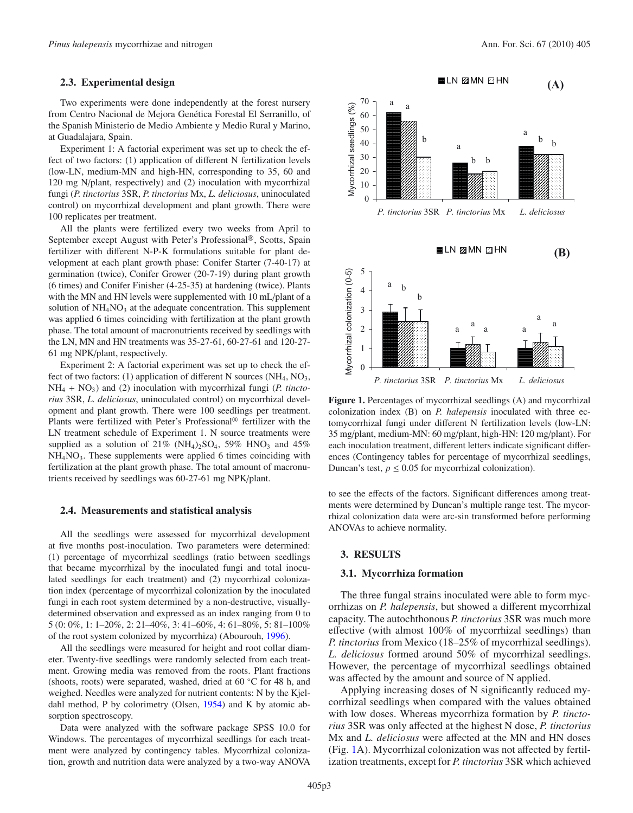# **2.3. Experimental design**

Two experiments were done independently at the forest nursery from Centro Nacional de Mejora Genética Forestal El Serranillo, of the Spanish Ministerio de Medio Ambiente y Medio Rural y Marino, at Guadalajara, Spain.

Experiment 1: A factorial experiment was set up to check the effect of two factors: (1) application of different N fertilization levels (low-LN, medium-MN and high-HN, corresponding to 35, 60 and 120 mg N/plant, respectively) and (2) inoculation with mycorrhizal fungi (*P. tinctorius* 3SR, *P. tinctorius* Mx, *L. deliciosus*, uninoculated control) on mycorrhizal development and plant growth. There were 100 replicates per treatment.

All the plants were fertilized every two weeks from April to September except August with Peter's Professional®, Scotts, Spain fertilizer with different N-P-K formulations suitable for plant development at each plant growth phase: Conifer Starter (7-40-17) at germination (twice), Conifer Grower (20-7-19) during plant growth (6 times) and Conifer Finisher (4-25-35) at hardening (twice). Plants with the MN and HN levels were supplemented with 10 mL/plant of a solution of  $NH<sub>4</sub>NO<sub>3</sub>$  at the adequate concentration. This supplement was applied 6 times coinciding with fertilization at the plant growth phase. The total amount of macronutrients received by seedlings with the LN, MN and HN treatments was 35-27-61, 60-27-61 and 120-27- 61 mg NPK/plant, respectively.

Experiment 2: A factorial experiment was set up to check the effect of two factors: (1) application of different N sources (NH<sub>4</sub>, NO<sub>3</sub>,  $NH_4 + NO_3$ ) and (2) inoculation with mycorrhizal fungi (*P. tinctorius* 3SR, *L. deliciosus*, uninoculated control) on mycorrhizal development and plant growth. There were 100 seedlings per treatment. Plants were fertilized with Peter's Professional® fertilizer with the LN treatment schedule of Experiment 1. N source treatments were supplied as a solution of 21% (NH<sub>4</sub>)<sub>2</sub>SO<sub>4</sub>, 59% HNO<sub>3</sub> and 45% NH4NO3. These supplements were applied 6 times coinciding with fertilization at the plant growth phase. The total amount of macronutrients received by seedlings was 60-27-61 mg NPK/plant.

#### **2.4. Measurements and statistical analysis**

All the seedlings were assessed for mycorrhizal development at five months post-inoculation. Two parameters were determined: (1) percentage of mycorrhizal seedlings (ratio between seedlings that became mycorrhizal by the inoculated fungi and total inoculated seedlings for each treatment) and (2) mycorrhizal colonization index (percentage of mycorrhizal colonization by the inoculated fungi in each root system determined by a non-destructive, visuallydetermined observation and expressed as an index ranging from 0 to 5 (0: 0%, 1: 1–20%, 2: 21–40%, 3: 41–60%, 4: 61–80%, 5: 81–100% of the root system colonized by mycorrhiza) (Abourouh, [1996](#page-7-0)).

All the seedlings were measured for height and root collar diameter. Twenty-five seedlings were randomly selected from each treatment. Growing media was removed from the roots. Plant fractions (shoots, roots) were separated, washed, dried at 60 ◦C for 48 h, and weighed. Needles were analyzed for nutrient contents: N by the Kjeldahl method, P by colorimetry (Olsen, [1954\)](#page-8-19) and K by atomic absorption spectroscopy.

Data were analyzed with the software package SPSS 10.0 for Windows. The percentages of mycorrhizal seedlings for each treatment were analyzed by contingency tables. Mycorrhizal colonization, growth and nutrition data were analyzed by a two-way ANOVA



<span id="page-2-0"></span>**Figure 1.** Percentages of mycorrhizal seedlings (A) and mycorrhizal colonization index (B) on *P. halepensis* inoculated with three ectomycorrhizal fungi under different N fertilization levels (low-LN: 35 mg/plant, medium-MN: 60 mg/plant, high-HN: 120 mg/plant). For each inoculation treatment, different letters indicate significant differences (Contingency tables for percentage of mycorrhizal seedlings, Duncan's test,  $p \le 0.05$  for mycorrhizal colonization).

to see the effects of the factors. Significant differences among treatments were determined by Duncan's multiple range test. The mycorrhizal colonization data were arc-sin transformed before performing ANOVAs to achieve normality.

#### **3. RESULTS**

#### **3.1. Mycorrhiza formation**

The three fungal strains inoculated were able to form mycorrhizas on *P. halepensis*, but showed a different mycorrhizal capacity. The autochthonous *P. tinctorius* 3SR was much more effective (with almost 100% of mycorrhizal seedlings) than *P. tinctorius* from Mexico (18–25% of mycorrhizal seedlings). *L. deliciosus* formed around 50% of mycorrhizal seedlings. However, the percentage of mycorrhizal seedlings obtained was affected by the amount and source of N applied.

Applying increasing doses of N significantly reduced mycorrhizal seedlings when compared with the values obtained with low doses. Whereas mycorrhiza formation by *P. tinctorius* 3SR was only affected at the highest N dose, *P. tinctorius* Mx and *L. deliciosus* were affected at the MN and HN doses (Fig. [1A](#page-2-0)). Mycorrhizal colonization was not affected by fertilization treatments, except for *P. tinctorius* 3SR which achieved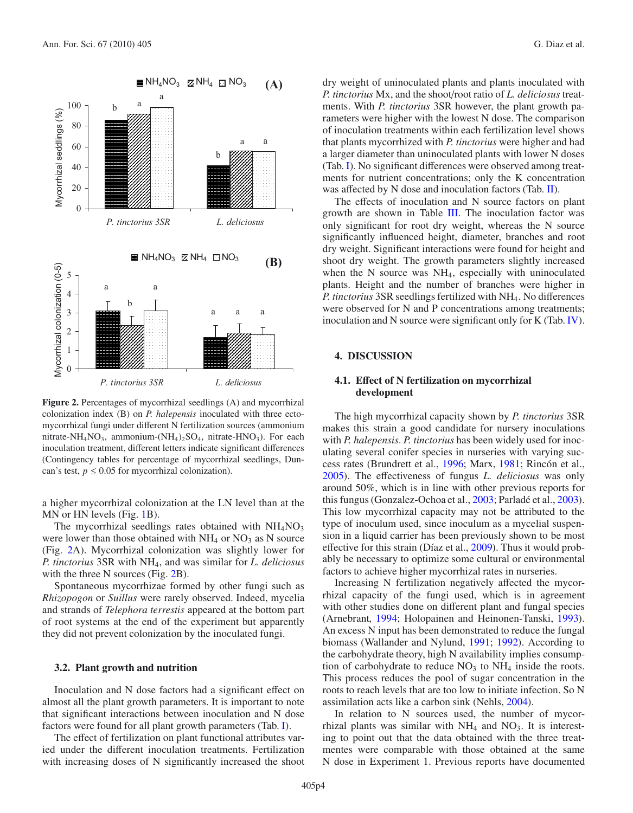



<span id="page-3-0"></span>**Figure 2.** Percentages of mycorrhizal seedlings (A) and mycorrhizal colonization index (B) on *P. halepensis* inoculated with three ectomycorrhizal fungi under different N fertilization sources (ammonium nitrate-NH<sub>4</sub>NO<sub>3</sub>, ammonium-(NH<sub>4</sub>)<sub>2</sub>SO<sub>4</sub>, nitrate-HNO<sub>3</sub>). For each inoculation treatment, different letters indicate significant differences (Contingency tables for percentage of mycorrhizal seedlings, Duncan's test,  $p \le 0.05$  for mycorrhizal colonization).

a higher mycorrhizal colonization at the LN level than at the MN or HN levels (Fig. [1B](#page-2-0)).

The mycorrhizal seedlings rates obtained with  $NH<sub>4</sub>NO<sub>3</sub>$ were lower than those obtained with  $NH<sub>4</sub>$  or  $NO<sub>3</sub>$  as N source (Fig. [2A](#page-3-0)). Mycorrhizal colonization was slightly lower for *P. tinctorius* 3SR with NH4, and was similar for *L. deliciosus* with the three N sources (Fig. [2B](#page-3-0)).

Spontaneous mycorrhizae formed by other fungi such as *Rhizopogon* or *Suillus* were rarely observed. Indeed, mycelia and strands of *Telephora terrestis* appeared at the bottom part of root systems at the end of the experiment but apparently they did not prevent colonization by the inoculated fungi.

# **3.2. Plant growth and nutrition**

Inoculation and N dose factors had a significant effect on almost all the plant growth parameters. It is important to note that significant interactions between inoculation and N dose factors were found for all plant growth parameters (Tab. [I\)](#page-4-0).

The effect of fertilization on plant functional attributes varied under the different inoculation treatments. Fertilization with increasing doses of N significantly increased the shoot

dry weight of uninoculated plants and plants inoculated with *P. tinctorius* Mx, and the shoot/root ratio of *L. deliciosus* treatments. With *P. tinctorius* 3SR however, the plant growth parameters were higher with the lowest N dose. The comparison of inoculation treatments within each fertilization level shows that plants mycorrhized with *P. tinctorius* were higher and had a larger diameter than uninoculated plants with lower N doses (Tab. [I\)](#page-4-0). No significant differences were observed among treatments for nutrient concentrations; only the K concentration was affected by N dose and inoculation factors (Tab. [II\)](#page-5-0).

The effects of inoculation and N source factors on plant growth are shown in Table [III.](#page-6-0) The inoculation factor was only significant for root dry weight, whereas the N source significantly influenced height, diameter, branches and root dry weight. Significant interactions were found for height and shoot dry weight. The growth parameters slightly increased when the N source was NH<sub>4</sub>, especially with uninoculated plants. Height and the number of branches were higher in *P. tinctorius* 3SR seedlings fertilized with NH4. No differences were observed for N and P concentrations among treatments; inoculation and N source were significant only for K (Tab. [IV\)](#page-7-1).

## **4. DISCUSSION**

# **4.1. E**ff**ect of N fertilization on mycorrhizal development**

The high mycorrhizal capacity shown by *P. tinctorius* 3SR makes this strain a good candidate for nursery inoculations with *P. halepensis*. *P. tinctorius* has been widely used for inoculating several conifer species in nurseries with varying success rates (Brundrett et al., [1996;](#page-8-1) Marx, [1981](#page-8-20); Rincón et al., [2005\)](#page-8-21). The effectiveness of fungus *L. deliciosus* was only around 50%, which is in line with other previous reports for this fungus (Gonzalez-Ochoa et al., [2003;](#page-8-22) Parladé et al., [2003](#page-8-23)). This low mycorrhizal capacity may not be attributed to the type of inoculum used, since inoculum as a mycelial suspension in a liquid carrier has been previously shown to be most effective for this strain (Díaz et al., [2009](#page-8-18)). Thus it would probably be necessary to optimize some cultural or environmental factors to achieve higher mycorrhizal rates in nurseries.

Increasing N fertilization negatively affected the mycorrhizal capacity of the fungi used, which is in agreement with other studies done on different plant and fungal species (Arnebrant, [1994;](#page-8-9) Holopainen and Heinonen-Tanski, [1993](#page-8-11)). An excess N input has been demonstrated to reduce the fungal biomass (Wallander and Nylund, [1991;](#page-8-12) [1992\)](#page-8-14). According to the carbohydrate theory, high N availability implies consumption of carbohydrate to reduce  $NO<sub>3</sub>$  to  $NH<sub>4</sub>$  inside the roots. This process reduces the pool of sugar concentration in the roots to reach levels that are too low to initiate infection. So N assimilation acts like a carbon sink (Nehls, [2004\)](#page-8-24).

In relation to N sources used, the number of mycorrhizal plants was similar with  $NH_4$  and  $NO_3$ . It is interesting to point out that the data obtained with the three treatmentes were comparable with those obtained at the same N dose in Experiment 1. Previous reports have documented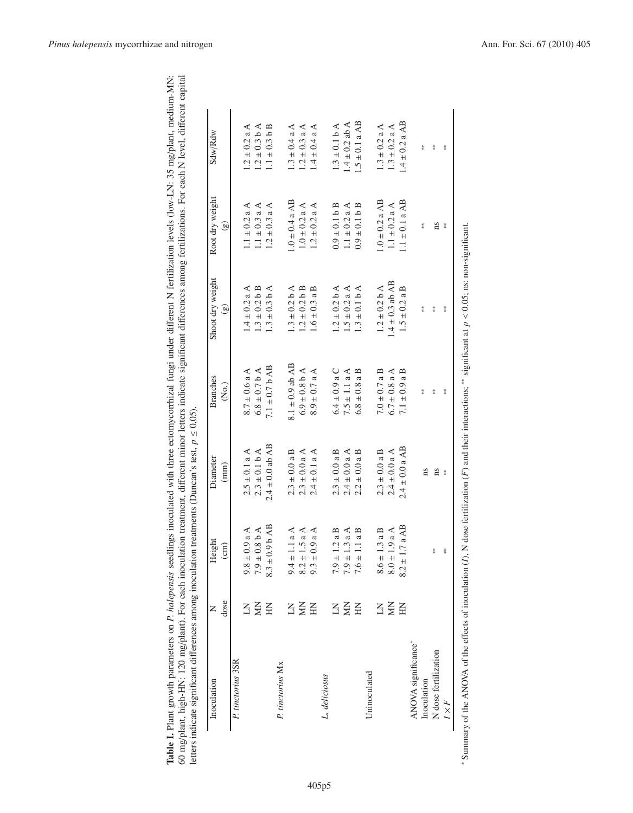| ation levels (low-LN: 35 mg/plant, medium<br>$f$ artilizat<br>j<br>1       | ä<br><b>AVA</b><br>My Hore my park<br>l<br>Ì<br>mincont di<br>icat<br>くちょう                                                               | í,                                           |
|----------------------------------------------------------------------------|------------------------------------------------------------------------------------------------------------------------------------------|----------------------------------------------|
| ו<br>נ<br>į<br>ļ<br>î<br>i<br>anone pop o<br>matare on <i>P</i><br>ant ero | innr let<br>.<br>קלק<br>j<br>$\ln m \alpha / m \ln m$<br>ונו<br>י<br>$\overline{\cdot}$<br>Ldni<br>$1 \text{ m}$ $\alpha/n$   $\alpha n$ | $+0.01$<br>i<br>S<br>$\frac{1}{2}$<br>i<br>I |

| Inoculation          | z            | Height             | Diameter            | <b>Branches</b>          | Shoot dry weight    | Root dry weight    | Sdw/Rdw            |
|----------------------|--------------|--------------------|---------------------|--------------------------|---------------------|--------------------|--------------------|
|                      | dose         | $\binom{cm}{ }$    | (mm)                | $\widetilde{\mathrm{R}}$ | $\odot$             | $\mathfrak{g}$     |                    |
| P. tinctorius 3SR    |              |                    |                     |                          |                     |                    |                    |
|                      | Ξ            | $9.8 \pm 0.9$ a A  | $2.5 \pm 0.1$ a A   | $8.7 \pm 0.6$ a A        | $.4 \pm 0.2$ a A    | $1.1 \pm 0.2$ a A  | $1.2 \pm 0.2$ a A  |
|                      | Š            | $7.9 \pm 0.8$ b A  | $2.3 \pm 0.1 b A$   | $6.8 \pm 0.7$ b A        | $1.3 \pm 0.2 b B$   | $1.1 \pm 0.3$ a A  | $1.2 \pm 0.3 b A$  |
|                      | $\mathbf{H}$ | $8.3\pm0.9$ b AB   | $2.4 \pm 0.0$ ab AB | $7.1 \pm 0.7$ b AB       | $1.3 \pm 0.3$ b A   | $1.2 \pm 0.3$ a A  | $1.1 \pm 0.3 b B$  |
| P. tinctorius Mx     |              |                    |                     |                          |                     |                    |                    |
|                      | Ξ            | $9.4 \pm 1.1$ a A  | $2.3 \pm 0.0$ a B   | $8.1 \pm 0.9$ ab AB      | $1.3 \pm 0.2 b A$   | $1.0 \pm 0.4$ a AB | $1.3 \pm 0.4$ a A  |
|                      | Š            | $8.2 \pm 1.5$ a A  | $2.3 \pm 0.0$ a A   | $6.9 \pm 0.8$ b A        | $1.2 \pm 0.2 b B$   | $1.0 \pm 0.2$ a A  | $1.2 \pm 0.3$ a A  |
|                      | HN           | $9.3 \pm 0.9$ a A  | $2.4 \pm 0.1$ a A   | $8.9 \pm 0.7$ a A        | $1.6 \pm 0.3$ a B   | $1.2 \pm 0.2$ a A  | $1.4 \pm 0.4$ a A  |
| L. deliciosus        |              |                    |                     |                          |                     |                    |                    |
|                      | KI           | $7.9 \pm 1.2$ a B  | $2.3 \pm 0.0$ a B   | $6.4 \pm 0.9$ a C        | $1.2 \pm 0.2 b A$   | $0.9 \pm 0.1 b B$  | $1.3 \pm 0.1 b A$  |
|                      | Š            | $7.9 \pm 1.3$ a A  | $2.4 \pm 0.0$ a A   | $7.5 \pm 1.1$ a A        | $1.5 \pm 0.2$ a A   | $1.1 \pm 0.2$ a A  | $1.4 \pm 0.2$ ab A |
|                      | EN           | $7.6 \pm 1.1$ a B  | $2.2 \pm 0.0$ a B   | $6.8 \pm 0.8$ a B        | $1.3 \pm 0.1 b A$   | $0.9 \pm 0.1 b B$  | $1.5 \pm 0.1$ a AB |
| Uninoculated         |              |                    |                     |                          |                     |                    |                    |
|                      | Ξ            | $8.6 \pm 1.3$ a B  | $2.3 \pm 0.0$ a B   | $7.0 \pm 0.7$ a B        | $1.2 \pm 0.2 b A$   | $1.0 \pm 0.2$ a AB | $1.3 \pm 0.2$ a A  |
|                      | Š            | $8.0\pm1.9$ a A    | $2.4 \pm 0.0$ a A   | $6.7 \pm 0.8$ a A        | $1.4 \pm 0.3$ ab AB | $1.1 \pm 0.2$ a A  | $1.3 \pm 0.2$ a A  |
|                      | E            | $8.2 \pm 1.7$ a AB | $2.4 \pm 0.0$ a AB  | $7.1 \pm 0.9$ a B        | $1.5 \pm 0.2$ a B   | $1.1 \pm 0.1$ a AB | $1.4 \pm 0.2$ a AB |
| ANOVA significance*  |              |                    |                     |                          |                     |                    |                    |
| Inoculation          |              |                    | ns                  | $*$                      | $\frac{*}{*}$       | $*$                | $\frac{u}{x}$      |
| N dose fertilization |              | $* \varkappa$      | ns                  | $*$                      | $\frac{1}{2}$       | ns                 | $\frac{1}{2}$      |
| $I \times F$         |              | $\frac{u}{x}$      | $*$                 | $* \n*$                  | $*$                 | $*$                | $\frac{*}{*}$      |

<span id="page-4-1"></span><span id="page-4-0"></span>significant at  $p < 0.05$ ; ns: non-significant.  $p < 0.05$ ; ns: non-significant. *F*) and their interactions; <sup>\*\*</sup> significant at  $*$  Summary of the ANOVA of the effects of inoculation  $(I)$ , N dose fertilization  $(F)$  and their interactions;  $*$ ffects of inoculation (*I*), N dose fertilization ( Summary of the ANOVA of the e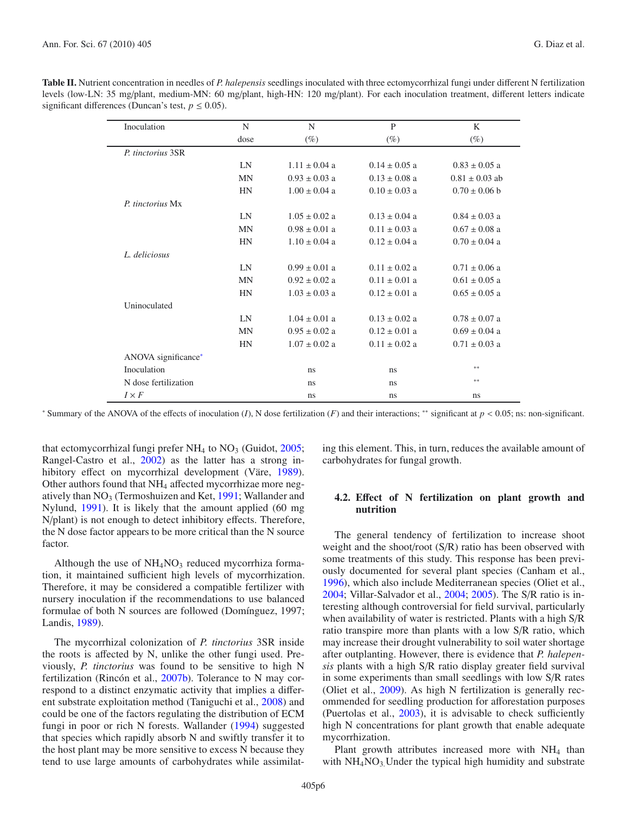| Inoculation          | N         | N                 | P                 | K                  |
|----------------------|-----------|-------------------|-------------------|--------------------|
|                      | dose      | (%)               | (%)               | $(\%)$             |
| P. tinctorius 3SR    |           |                   |                   |                    |
|                      | LN        | $1.11 \pm 0.04$ a | $0.14 \pm 0.05$ a | $0.83 \pm 0.05$ a  |
|                      | <b>MN</b> | $0.93 \pm 0.03$ a | $0.13 \pm 0.08$ a | $0.81 \pm 0.03$ ab |
|                      | <b>HN</b> | $1.00 \pm 0.04$ a | $0.10 \pm 0.03$ a | $0.70 \pm 0.06$ b  |
| P. tinctorius Mx     |           |                   |                   |                    |
|                      | LN        | $1.05 \pm 0.02$ a | $0.13 + 0.04$ a   | $0.84 \pm 0.03$ a  |
|                      | <b>MN</b> | $0.98 \pm 0.01$ a | $0.11 \pm 0.03$ a | $0.67 \pm 0.08$ a  |
|                      | <b>HN</b> | $1.10 \pm 0.04$ a | $0.12 \pm 0.04$ a | $0.70 \pm 0.04$ a  |
| L. deliciosus        |           |                   |                   |                    |
|                      | LN        | $0.99 \pm 0.01$ a | $0.11 \pm 0.02$ a | $0.71 \pm 0.06$ a  |
|                      | <b>MN</b> | $0.92 \pm 0.02$ a | $0.11 \pm 0.01$ a | $0.61 \pm 0.05$ a  |
|                      | <b>HN</b> | $1.03 \pm 0.03$ a | $0.12 \pm 0.01$ a | $0.65 \pm 0.05$ a  |
| Uninoculated         |           |                   |                   |                    |
|                      | LN        | $1.04 \pm 0.01$ a | $0.13 \pm 0.02$ a | $0.78 \pm 0.07$ a  |
|                      | <b>MN</b> | $0.95 \pm 0.02$ a | $0.12 \pm 0.01$ a | $0.69 \pm 0.04$ a  |
|                      | <b>HN</b> | $1.07 \pm 0.02$ a | $0.11 \pm 0.02$ a | $0.71 \pm 0.03$ a  |
| ANOVA significance*  |           |                   |                   |                    |
| Inoculation          |           | ns                | ns                | **                 |
| N dose fertilization |           | ns                | ns.               | **                 |
| $I \times F$         |           | ns                | ns                | ns                 |

<span id="page-5-0"></span>**Table II.** Nutrient concentration in needles of *P. halepensis* seedlings inoculated with three ectomycorrhizal fungi under different N fertilization levels (low-LN: 35 mg/plant, medium-MN: 60 mg/plant, high-HN: 120 mg/plant). For each inoculation treatment, different letters indicate significant differences (Duncan's test,  $p \le 0.05$ ).

<span id="page-5-1"></span><sup>∗</sup> Summary of the ANOVA of the effects of inoculation (*I*), N dose fertilization (*F*) and their interactions; ∗∗ significant at *p* < 0.05; ns: non-significant.

that ectomycorrhizal fungi prefer  $NH_4$  to  $NO_3$  (Guidot, [2005;](#page-8-25) Rangel-Castro et al., [2002](#page-8-26)) as the latter has a strong inhibitory effect on mycorrhizal development (Väre, [1989\)](#page-8-15). Other authors found that NH4 affected mycorrhizae more negatively than NO3 (Termoshuizen and Ket, [1991;](#page-8-16) Wallander and Nylund, [1991](#page-8-12)). It is likely that the amount applied (60 mg N/plant) is not enough to detect inhibitory effects. Therefore, the N dose factor appears to be more critical than the N source factor.

Although the use of  $NH<sub>4</sub>NO<sub>3</sub>$  reduced mycorrhiza formation, it maintained sufficient high levels of mycorrhization. Therefore, it may be considered a compatible fertilizer with nursery inoculation if the recommendations to use balanced formulae of both N sources are followed (Domínguez, 1997; Landis, [1989\)](#page-8-0).

The mycorrhizal colonization of *P. tinctorius* 3SR inside the roots is affected by N, unlike the other fungi used. Previously, *P. tinctorius* was found to be sensitive to high N fertilization (Rincón et al., [2007b\)](#page-8-27). Tolerance to N may correspond to a distinct enzymatic activity that implies a different substrate exploitation method (Taniguchi et al., [2008\)](#page-8-28) and could be one of the factors regulating the distribution of ECM fungi in poor or rich N forests. Wallander [\(1994](#page-8-13)) suggested that species which rapidly absorb N and swiftly transfer it to the host plant may be more sensitive to excess N because they tend to use large amounts of carbohydrates while assimilating this element. This, in turn, reduces the available amount of carbohydrates for fungal growth.

# **4.2. E**ff**ect of N fertilization on plant growth and nutrition**

The general tendency of fertilization to increase shoot weight and the shoot/root (S/R) ratio has been observed with some treatments of this study. This response has been previously documented for several plant species (Canham et al., [1996\)](#page-8-29), which also include Mediterranean species (Oliet et al., [2004;](#page-8-30) Villar-Salvador et al., [2004;](#page-8-31) [2005\)](#page-8-32). The S/R ratio is interesting although controversial for field survival, particularly when availability of water is restricted. Plants with a high S/R ratio transpire more than plants with a low S/R ratio, which may increase their drought vulnerability to soil water shortage after outplanting. However, there is evidence that *P. halepensis* plants with a high S/R ratio display greater field survival in some experiments than small seedlings with low S/R rates (Oliet et al., [2009\)](#page-8-33). As high N fertilization is generally recommended for seedling production for afforestation purposes (Puertolas et al., [2003](#page-8-34)), it is advisable to check sufficiently high N concentrations for plant growth that enable adequate mycorrhization.

Plant growth attributes increased more with NH<sub>4</sub> than with  $NH_4NO_3$ . Under the typical high humidity and substrate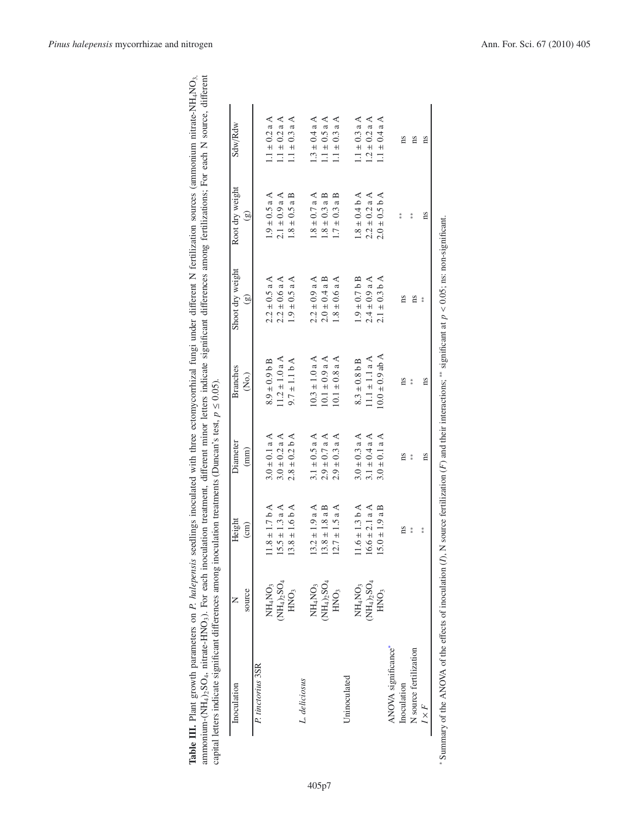<span id="page-6-1"></span><span id="page-6-0"></span>

| Inoculation            |                                 | Height                 | Diameter          | <b>Branches</b>     | Shoot dry weight  | Root dry weight   | Sdw/Rdw           |
|------------------------|---------------------------------|------------------------|-------------------|---------------------|-------------------|-------------------|-------------------|
|                        | source                          | $\overline{\text{cm}}$ | (mm)              | $\widetilde{R}$     | ම                 | $\mathfrak{g}$    |                   |
| P. tinctorius 3SR      |                                 |                        |                   |                     |                   |                   |                   |
|                        | NH <sub>4</sub> NO <sub>3</sub> | $11.8 \pm 1.7 b A$     | $3.0 \pm 0.1$ a A | $8.9 \pm 0.9$ b B   | $2.2 \pm 0.5$ a A | $1.9 \pm 0.5$ a A | $1.1 \pm 0.2$ a A |
|                        | $(NH_4)_2SO_4$                  | $15.5 \pm 1.3$ a A     | $3.0 \pm 0.2$ a A | $11.2 \pm 1.0$ a A  | $2.2 \pm 0.6$ a A | $2.1 \pm 0.9$ a A | $1.1 \pm 0.2$ a A |
|                        | HNO <sub>3</sub>                | $13.8 \pm 1.6 b A$     | $2.8 \pm 0.2 b$ A | $9.7 \pm 1.1 b A$   | $1.9 \pm 0.5$ a A | $1.8 \pm 0.5$ a B | $1.1 \pm 0.3$ a A |
| L. deliciosus          |                                 |                        |                   |                     |                   |                   |                   |
|                        | NH <sub>4</sub> NO <sub>3</sub> | $13.2 \pm 1.9$ a A     | $3.1 \pm 0.5$ a A | $10.3 \pm 1.0$ a A  | $2.2 \pm 0.9$ a A | $1.8 \pm 0.7$ a A | $1.3 \pm 0.4$ a A |
|                        | $(NH_4)_2SO_4$                  | $13.8 \pm 1.8$ a B     | $2.9 \pm 0.7$ a A | $10.1 \pm 0.9$ a A  | $2.0 \pm 0.4$ a B | $1.8 \pm 0.3$ a B | $1.1 \pm 0.5$ a A |
|                        | HNO <sub>3</sub>                | $12.7 \pm 1.5$ a A     | $2.9 \pm 0.3$ a A | $10.1 \pm 0.8$ a A  | $1.8 \pm 0.6$ a A | $1.7 \pm 0.3$ a B | $1.1 \pm 0.3$ a A |
| Uninoculated           |                                 |                        |                   |                     |                   |                   |                   |
|                        | NH <sub>4</sub> NO <sub>3</sub> | $11.6 \pm 1.3 b A$     | $3.0 \pm 0.3$ a A | $8.3 \pm 0.8$ b B   | $1.9 \pm 0.7$ b B | $1.8 \pm 0.4 b A$ | $1.1 \pm 0.3$ a A |
|                        | $(NH_4)_2SO_4$                  | $16.6 \pm 2.1 a A$     | 3.1 $\pm$ 0.4 a A | $11.1 \pm 1.1 a A$  | $2.4 \pm 0.9$ a A | $2.2 \pm 0.2$ a A | $1.2 \pm 0.2$ a A |
|                        | HNO <sub>3</sub>                | $15.0 \pm 1.9$ a B     | $3.0 \pm 0.1$ a A | $10.0 \pm 0.9$ ab A | $2.1 \pm 0.3$ b A | $2.0 \pm 0.5$ b A | $1.1 \pm 0.4$ a A |
| ANOVA significance*    |                                 |                        |                   |                     |                   |                   |                   |
| Inoculation            |                                 | ns                     | ns                | ns                  | ns                | $\frac{1}{2}$     | ns                |
| N source fertilization |                                 | $\frac{u}{x}$          | $*$               | $*$                 | ns                | $*$               | ns                |
| $I \times F$           |                                 | $* \frac{1}{2}$        | ns                | ns                  | $*$               | ns                | ns                |

| ;<br>;                             |                                       |                    |
|------------------------------------|---------------------------------------|--------------------|
|                                    | ne anne i                             |                    |
|                                    |                                       |                    |
|                                    |                                       |                    |
| ļ                                  |                                       |                    |
|                                    |                                       |                    |
|                                    |                                       |                    |
|                                    | <b>CHAIR COLL</b>                     |                    |
|                                    | I                                     |                    |
| í                                  | Š                                     | l<br>$\frac{1}{2}$ |
|                                    |                                       |                    |
|                                    | i<br>į.                               |                    |
|                                    |                                       |                    |
|                                    |                                       |                    |
|                                    |                                       |                    |
| s<br>S                             |                                       |                    |
|                                    |                                       |                    |
|                                    |                                       | ć<br>c             |
| meters on P. halepen               |                                       | $\cdots$ different |
|                                    | "HANO, nitrate-HNO3). For each inocu- | $\ddotsc$          |
|                                    |                                       |                    |
| <b>Table III.</b> Plant growth par |                                       |                    |
|                                    |                                       | $\overline{\cdot}$ |
|                                    |                                       |                    |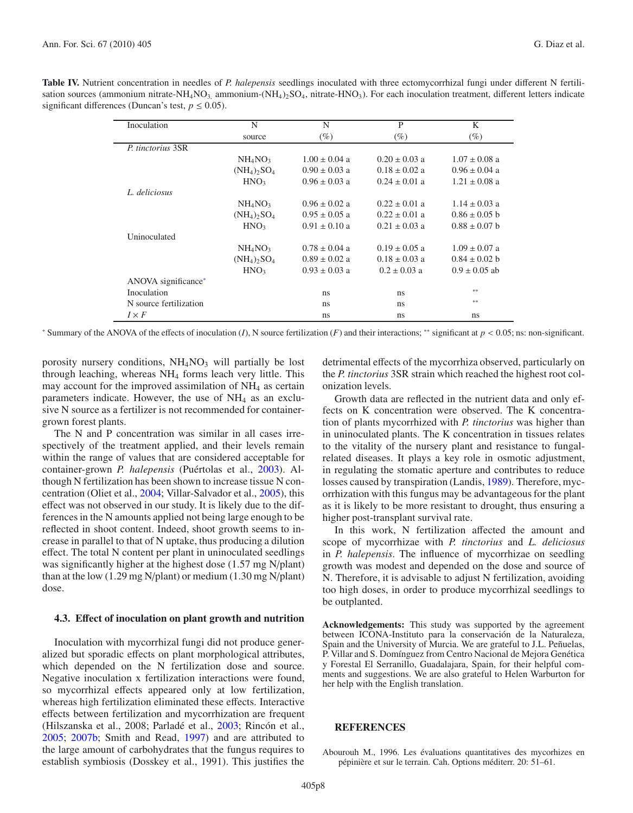<span id="page-7-2"></span><span id="page-7-1"></span>

| <b>Table IV.</b> Nutrient concentration in needles of P. halepensis seedlings inoculated with three ectomycorrhizal fungi under different N fertili-                                                   |
|--------------------------------------------------------------------------------------------------------------------------------------------------------------------------------------------------------|
| sation sources (ammonium nitrate-NH <sub>4</sub> NO <sub>3</sub> ammonium-(NH <sub>4</sub> ), SO <sub>4</sub> , nitrate-HNO <sub>3</sub> ). For each inoculation treatment, different letters indicate |
| significant differences (Duncan's test, $p \le 0.05$ ).                                                                                                                                                |

| Inoculation            | N                                     | N                 | P                 | K                 |
|------------------------|---------------------------------------|-------------------|-------------------|-------------------|
|                        | source                                | $(\%)$            | (%)               | $(\%)$            |
| P. tinctorius 3SR      |                                       |                   |                   |                   |
|                        | NH <sub>4</sub> NO <sub>3</sub>       | $1.00 \pm 0.04$ a | $0.20 \pm 0.03$ a | $1.07 \pm 0.08$ a |
|                        | $(NH_4)$ <sub>2</sub> SO <sub>4</sub> | $0.90 \pm 0.03$ a | $0.18 \pm 0.02$ a | $0.96 \pm 0.04$ a |
|                        | HNO <sub>3</sub>                      | $0.96 \pm 0.03$ a | $0.24 \pm 0.01$ a | $1.21 \pm 0.08$ a |
| L. deliciosus          |                                       |                   |                   |                   |
|                        | $NH_4NO_3$                            | $0.96 \pm 0.02$ a | $0.22 \pm 0.01$ a | $1.14 \pm 0.03$ a |
|                        | $(NH_4)$ <sub>2</sub> SO <sub>4</sub> | $0.95 \pm 0.05$ a | $0.22 \pm 0.01$ a | $0.86 \pm 0.05$ b |
|                        | HNO <sub>3</sub>                      | $0.91 \pm 0.10$ a | $0.21 \pm 0.03$ a | $0.88 \pm 0.07$ b |
| Uninoculated           |                                       |                   |                   |                   |
|                        | $NH_4NO_3$                            | $0.78 \pm 0.04$ a | $0.19 \pm 0.05$ a | $1.09 \pm 0.07$ a |
|                        | $(NH_4)$ <sub>2</sub> SO <sub>4</sub> | $0.89 \pm 0.02$ a | $0.18 \pm 0.03$ a | $0.84 \pm 0.02$ b |
|                        | HNO <sub>3</sub>                      | $0.93 \pm 0.03$ a | $0.2 \pm 0.03$ a  | $0.9 \pm 0.05$ ab |
| ANOVA significance*    |                                       |                   |                   |                   |
| Inoculation            |                                       | ns                | ns                | 家家                |
| N source fertilization |                                       | ns                | ns                | 家家                |
| $I \times F$           |                                       | ns                | ns                | ns                |

<sup>∗</sup> Summary of the ANOVA of the effects of inoculation (*I*), N source fertilization (*F*) and their interactions; ∗∗ significant at *p* < 0.05; ns: non-significant.

porosity nursery conditions,  $NH<sub>4</sub>NO<sub>3</sub>$  will partially be lost through leaching, whereas  $NH<sub>4</sub>$  forms leach very little. This may account for the improved assimilation of NH4 as certain parameters indicate. However, the use of  $NH<sub>4</sub>$  as an exclusive N source as a fertilizer is not recommended for containergrown forest plants.

The N and P concentration was similar in all cases irrespectively of the treatment applied, and their levels remain within the range of values that are considered acceptable for container-grown *P. halepensis* (Puértolas et al., [2003\)](#page-8-34). Although N fertilization has been shown to increase tissue N concentration (Oliet et al., [2004;](#page-8-30) Villar-Salvador et al., [2005\)](#page-8-32), this effect was not observed in our study. It is likely due to the differences in the N amounts applied not being large enough to be reflected in shoot content. Indeed, shoot growth seems to increase in parallel to that of N uptake, thus producing a dilution effect. The total N content per plant in uninoculated seedlings was significantly higher at the highest dose (1.57 mg N/plant) than at the low (1.29 mg N/plant) or medium (1.30 mg N/plant) dose.

# **4.3. E**ff**ect of inoculation on plant growth and nutrition**

Inoculation with mycorrhizal fungi did not produce generalized but sporadic effects on plant morphological attributes, which depended on the N fertilization dose and source. Negative inoculation x fertilization interactions were found, so mycorrhizal effects appeared only at low fertilization, whereas high fertilization eliminated these effects. Interactive effects between fertilization and mycorrhization are frequent (Hilszanska et al., 2008; Parladé et al., [2003](#page-8-23); Rincón et al., [2005;](#page-8-21) [2007b;](#page-8-27) Smith and Read, [1997](#page-8-35)) and are attributed to the large amount of carbohydrates that the fungus requires to establish symbiosis (Dosskey et al., 1991). This justifies the

detrimental effects of the mycorrhiza observed, particularly on the *P. tinctorius* 3SR strain which reached the highest root colonization levels.

Growth data are reflected in the nutrient data and only effects on K concentration were observed. The K concentration of plants mycorrhized with *P. tinctorius* was higher than in uninoculated plants. The K concentration in tissues relates to the vitality of the nursery plant and resistance to fungalrelated diseases. It plays a key role in osmotic adjustment, in regulating the stomatic aperture and contributes to reduce losses caused by transpiration (Landis, [1989\)](#page-8-0). Therefore, mycorrhization with this fungus may be advantageous for the plant as it is likely to be more resistant to drought, thus ensuring a higher post-transplant survival rate.

In this work, N fertilization affected the amount and scope of mycorrhizae with *P. tinctorius* and *L. deliciosus* in *P. halepensis*. The influence of mycorrhizae on seedling growth was modest and depended on the dose and source of N. Therefore, it is advisable to adjust N fertilization, avoiding too high doses, in order to produce mycorrhizal seedlings to be outplanted.

**Acknowledgements:** This study was supported by the agreement between ICONA-Instituto para la conservación de la Naturaleza, Spain and the University of Murcia. We are grateful to J.L. Peñuelas, P. Villar and S. Domínguez from Centro Nacional de Mejora Genética y Forestal El Serranillo, Guadalajara, Spain, for their helpful comments and suggestions. We are also grateful to Helen Warburton for her help with the English translation.

# **REFERENCES**

<span id="page-7-0"></span>Abourouh M., 1996. Les évaluations quantitatives des mycorhizes en pépinière et sur le terrain. Cah. Options méditerr. 20: 51–61.